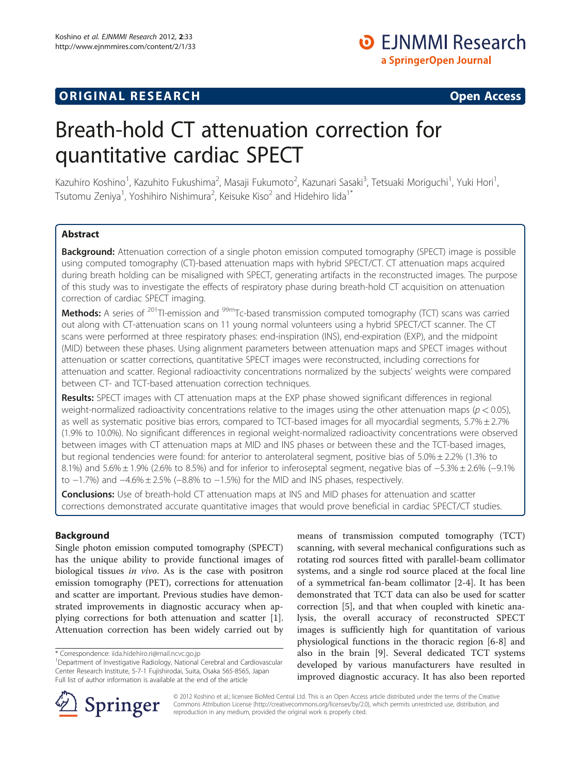# **ORIGINAL RESEARCH CONSUMING ACCESS**

# Breath-hold CT attenuation correction for quantitative cardiac SPECT

Kazuhiro Koshino<sup>1</sup>, Kazuhito Fukushima<sup>2</sup>, Masaji Fukumoto<sup>2</sup>, Kazunari Sasaki<sup>3</sup>, Tetsuaki Moriguchi<sup>1</sup>, Yuki Hori<sup>1</sup> , Tsutomu Zeniya<sup>1</sup>, Yoshihiro Nishimura<sup>2</sup>, Keisuke Kiso<sup>2</sup> and Hidehiro lida<sup>1\*</sup>

# Abstract

**Background:** Attenuation correction of a single photon emission computed tomography (SPECT) image is possible using computed tomography (CT)-based attenuation maps with hybrid SPECT/CT. CT attenuation maps acquired during breath holding can be misaligned with SPECT, generating artifacts in the reconstructed images. The purpose of this study was to investigate the effects of respiratory phase during breath-hold CT acquisition on attenuation correction of cardiac SPECT imaging.

Methods: A series of <sup>201</sup>TI-emission and <sup>99m</sup>Tc-based transmission computed tomography (TCT) scans was carried out along with CT-attenuation scans on 11 young normal volunteers using a hybrid SPECT/CT scanner. The CT scans were performed at three respiratory phases: end-inspiration (INS), end-expiration (EXP), and the midpoint (MID) between these phases. Using alignment parameters between attenuation maps and SPECT images without attenuation or scatter corrections, quantitative SPECT images were reconstructed, including corrections for attenuation and scatter. Regional radioactivity concentrations normalized by the subjects' weights were compared between CT- and TCT-based attenuation correction techniques.

Results: SPECT images with CT attenuation maps at the EXP phase showed significant differences in regional weight-normalized radioactivity concentrations relative to the images using the other attenuation maps ( $p < 0.05$ ), as well as systematic positive bias errors, compared to TCT-based images for all myocardial segments, 5.7% ± 2.7% (1.9% to 10.0%). No significant differences in regional weight-normalized radioactivity concentrations were observed between images with CT attenuation maps at MID and INS phases or between these and the TCT-based images, but regional tendencies were found: for anterior to anterolateral segment, positive bias of 5.0% ± 2.2% (1.3% to 8.1%) and 5.6% ± 1.9% (2.6% to 8.5%) and for inferior to inferoseptal segment, negative bias of −5.3% ± 2.6% (−9.1% to −1.7%) and −4.6% ± 2.5% (−8.8% to −1.5%) for the MID and INS phases, respectively.

**Conclusions:** Use of breath-hold CT attenuation maps at INS and MID phases for attenuation and scatter corrections demonstrated accurate quantitative images that would prove beneficial in cardiac SPECT/CT studies.

# Background

Single photon emission computed tomography (SPECT) has the unique ability to provide functional images of biological tissues in vivo. As is the case with positron emission tomography (PET), corrections for attenuation and scatter are important. Previous studies have demonstrated improvements in diagnostic accuracy when applying corrections for both attenuation and scatter [\[1](#page-7-0)]. Attenuation correction has been widely carried out by

means of transmission computed tomography (TCT) scanning, with several mechanical configurations such as rotating rod sources fitted with parallel-beam collimator systems, and a single rod source placed at the focal line of a symmetrical fan-beam collimator [\[2](#page-7-0)-[4\]](#page-7-0). It has been demonstrated that TCT data can also be used for scatter correction [[5\]](#page-7-0), and that when coupled with kinetic analysis, the overall accuracy of reconstructed SPECT images is sufficiently high for quantitation of various physiological functions in the thoracic region [[6-8](#page-7-0)] and also in the brain [[9\]](#page-7-0). Several dedicated TCT systems developed by various manufacturers have resulted in improved diagnostic accuracy. It has also been reported



© 2012 Koshino et al.; licensee BioMed Central Ltd. This is an Open Access article distributed under the terms of the Creative Commons Attribution License (<http://creativecommons.org/licenses/by/2.0>), which permits unrestricted use, distribution, and reproduction in any medium, provided the original work is properly cited.

<sup>\*</sup> Correspondence: [iida.hidehiro.ri@mail.ncvc.go.jp](mailto:iida.hidehiro.ri@mail.ncvc.go.jp) <sup>1</sup>

<sup>&</sup>lt;sup>1</sup>Department of Investigative Radiology, National Cerebral and Cardiovascular Center Research Institute, 5-7-1 Fujishirodai, Suita, Osaka 565-8565, Japan Full list of author information is available at the end of the article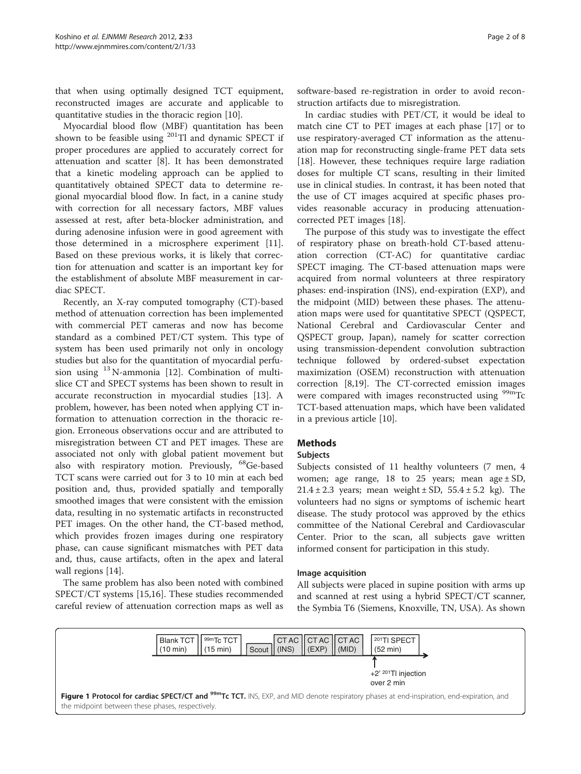<span id="page-1-0"></span>that when using optimally designed TCT equipment, reconstructed images are accurate and applicable to quantitative studies in the thoracic region [[10\]](#page-7-0).

Myocardial blood flow (MBF) quantitation has been shown to be feasible using <sup>201</sup>Tl and dynamic SPECT if proper procedures are applied to accurately correct for attenuation and scatter [[8\]](#page-7-0). It has been demonstrated that a kinetic modeling approach can be applied to quantitatively obtained SPECT data to determine regional myocardial blood flow. In fact, in a canine study with correction for all necessary factors, MBF values assessed at rest, after beta-blocker administration, and during adenosine infusion were in good agreement with those determined in a microsphere experiment [\[11](#page-7-0)]. Based on these previous works, it is likely that correction for attenuation and scatter is an important key for the establishment of absolute MBF measurement in cardiac SPECT.

Recently, an X-ray computed tomography (CT)-based method of attenuation correction has been implemented with commercial PET cameras and now has become standard as a combined PET/CT system. This type of system has been used primarily not only in oncology studies but also for the quantitation of myocardial perfusion using  $^{13}$  N-ammonia [[12](#page-7-0)]. Combination of multislice CT and SPECT systems has been shown to result in accurate reconstruction in myocardial studies [[13\]](#page-7-0). A problem, however, has been noted when applying CT information to attenuation correction in the thoracic region. Erroneous observations occur and are attributed to misregistration between CT and PET images. These are associated not only with global patient movement but also with respiratory motion. Previously, 68Ge-based TCT scans were carried out for 3 to 10 min at each bed position and, thus, provided spatially and temporally smoothed images that were consistent with the emission data, resulting in no systematic artifacts in reconstructed PET images. On the other hand, the CT-based method, which provides frozen images during one respiratory phase, can cause significant mismatches with PET data and, thus, cause artifacts, often in the apex and lateral wall regions [[14\]](#page-7-0).

The same problem has also been noted with combined SPECT/CT systems [\[15,16\]](#page-7-0). These studies recommended careful review of attenuation correction maps as well as

software-based re-registration in order to avoid reconstruction artifacts due to misregistration.

In cardiac studies with PET/CT, it would be ideal to match cine CT to PET images at each phase [[17\]](#page-7-0) or to use respiratory-averaged CT information as the attenuation map for reconstructing single-frame PET data sets [[18\]](#page-7-0). However, these techniques require large radiation doses for multiple CT scans, resulting in their limited use in clinical studies. In contrast, it has been noted that the use of CT images acquired at specific phases provides reasonable accuracy in producing attenuationcorrected PET images [[18\]](#page-7-0).

The purpose of this study was to investigate the effect of respiratory phase on breath-hold CT-based attenuation correction (CT-AC) for quantitative cardiac SPECT imaging. The CT-based attenuation maps were acquired from normal volunteers at three respiratory phases: end-inspiration (INS), end-expiration (EXP), and the midpoint (MID) between these phases. The attenuation maps were used for quantitative SPECT (QSPECT, National Cerebral and Cardiovascular Center and QSPECT group, Japan), namely for scatter correction using transmission-dependent convolution subtraction technique followed by ordered-subset expectation maximization (OSEM) reconstruction with attenuation correction [\[8,19](#page-7-0)]. The CT-corrected emission images were compared with images reconstructed using <sup>99m</sup>Tc TCT-based attenuation maps, which have been validated in a previous article [[10\]](#page-7-0).

# Methods

#### Subjects

Subjects consisted of 11 healthy volunteers (7 men, 4 women; age range, 18 to 25 years; mean age  $\pm$  SD,  $21.4 \pm 2.3$  years; mean weight  $\pm$  SD,  $55.4 \pm 5.2$  kg). The volunteers had no signs or symptoms of ischemic heart disease. The study protocol was approved by the ethics committee of the National Cerebral and Cardiovascular Center. Prior to the scan, all subjects gave written informed consent for participation in this study.

#### Image acquisition

All subjects were placed in supine position with arms up and scanned at rest using a hybrid SPECT/CT scanner, the Symbia T6 (Siemens, Knoxville, TN, USA). As shown

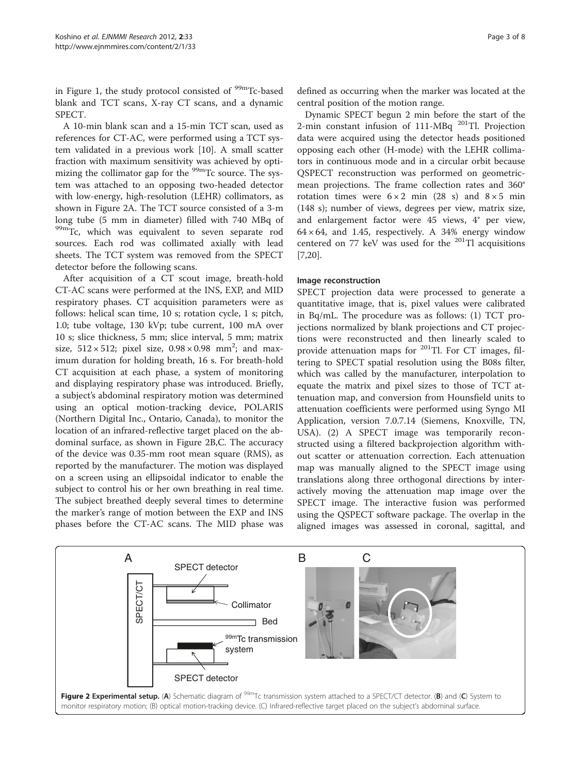in Figure [1](#page-1-0), the study protocol consisted of <sup>99m</sup>Tc-based blank and TCT scans, X-ray CT scans, and a dynamic SPECT.

A 10-min blank scan and a 15-min TCT scan, used as references for CT-AC, were performed using a TCT system validated in a previous work [\[10](#page-7-0)]. A small scatter fraction with maximum sensitivity was achieved by optimizing the collimator gap for the <sup>99m</sup>Tc source. The system was attached to an opposing two-headed detector with low-energy, high-resolution (LEHR) collimators, as shown in Figure 2A. The TCT source consisted of a 3-m long tube (5 mm in diameter) filled with 740 MBq of 99mTc, which was equivalent to seven separate rod sources. Each rod was collimated axially with lead sheets. The TCT system was removed from the SPECT detector before the following scans.

After acquisition of a CT scout image, breath-hold CT-AC scans were performed at the INS, EXP, and MID respiratory phases. CT acquisition parameters were as follows: helical scan time, 10 s; rotation cycle, 1 s; pitch, 1.0; tube voltage, 130 kVp; tube current, 100 mA over 10 s; slice thickness, 5 mm; slice interval, 5 mm; matrix size,  $512 \times 512$ ; pixel size,  $0.98 \times 0.98$  mm<sup>2</sup>; and maximum duration for holding breath, 16 s. For breath-hold CT acquisition at each phase, a system of monitoring and displaying respiratory phase was introduced. Briefly, a subject's abdominal respiratory motion was determined using an optical motion-tracking device, POLARIS (Northern Digital Inc., Ontario, Canada), to monitor the location of an infrared-reflective target placed on the abdominal surface, as shown in Figure 2B,C. The accuracy of the device was 0.35-mm root mean square (RMS), as reported by the manufacturer. The motion was displayed on a screen using an ellipsoidal indicator to enable the subject to control his or her own breathing in real time. The subject breathed deeply several times to determine the marker's range of motion between the EXP and INS phases before the CT-AC scans. The MID phase was defined as occurring when the marker was located at the central position of the motion range.

Dynamic SPECT begun 2 min before the start of the 2-min constant infusion of 111-MBq  $^{201}$ Tl. Projection data were acquired using the detector heads positioned opposing each other (H-mode) with the LEHR collimators in continuous mode and in a circular orbit because QSPECT reconstruction was performed on geometricmean projections. The frame collection rates and 360° rotation times were  $6 \times 2$  min (28 s) and  $8 \times 5$  min (148 s); number of views, degrees per view, matrix size, and enlargement factor were 45 views, 4° per view,  $64 \times 64$ , and 1.45, respectively. A 34% energy window centered on 77 keV was used for the  $^{201}$ Tl acquisitions [[7,20\]](#page-7-0).

#### Image reconstruction

SPECT projection data were processed to generate a quantitative image, that is, pixel values were calibrated in Bq/mL. The procedure was as follows: (1) TCT projections normalized by blank projections and CT projections were reconstructed and then linearly scaled to provide attenuation maps for  $^{201}$ Tl. For CT images, filtering to SPECT spatial resolution using the B08s filter, which was called by the manufacturer, interpolation to equate the matrix and pixel sizes to those of TCT attenuation map, and conversion from Hounsfield units to attenuation coefficients were performed using Syngo MI Application, version 7.0.7.14 (Siemens, Knoxville, TN, USA). (2) A SPECT image was temporarily reconstructed using a filtered backprojection algorithm without scatter or attenuation correction. Each attenuation map was manually aligned to the SPECT image using translations along three orthogonal directions by interactively moving the attenuation map image over the SPECT image. The interactive fusion was performed using the QSPECT software package. The overlap in the aligned images was assessed in coronal, sagittal, and

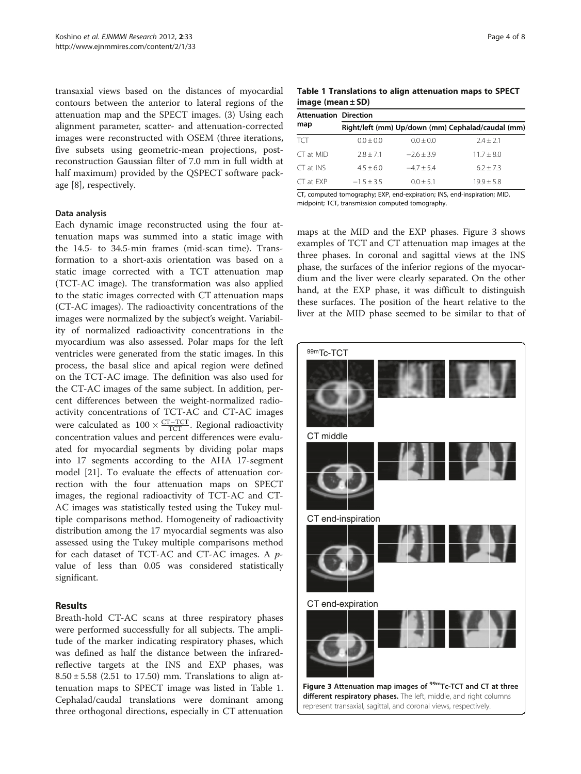<span id="page-3-0"></span>transaxial views based on the distances of myocardial contours between the anterior to lateral regions of the attenuation map and the SPECT images. (3) Using each alignment parameter, scatter- and attenuation-corrected images were reconstructed with OSEM (three iterations, five subsets using geometric-mean projections, postreconstruction Gaussian filter of 7.0 mm in full width at half maximum) provided by the QSPECT software package [\[8](#page-7-0)], respectively.

#### Data analysis

Each dynamic image reconstructed using the four attenuation maps was summed into a static image with the 14.5- to 34.5-min frames (mid-scan time). Transformation to a short-axis orientation was based on a static image corrected with a TCT attenuation map (TCT-AC image). The transformation was also applied to the static images corrected with CT attenuation maps (CT-AC images). The radioactivity concentrations of the images were normalized by the subject's weight. Variability of normalized radioactivity concentrations in the myocardium was also assessed. Polar maps for the left ventricles were generated from the static images. In this process, the basal slice and apical region were defined on the TCT-AC image. The definition was also used for the CT-AC images of the same subject. In addition, percent differences between the weight-normalized radioactivity concentrations of TCT-AC and CT-AC images were calculated as  $100 \times \frac{CT - TCT}{TCT}$ . Regional radioactivity concentration values and percent differences were evaluated for myocardial segments by dividing polar maps into 17 segments according to the AHA 17-segment model [[21\]](#page-7-0). To evaluate the effects of attenuation correction with the four attenuation maps on SPECT images, the regional radioactivity of TCT-AC and CT-AC images was statistically tested using the Tukey multiple comparisons method. Homogeneity of radioactivity distribution among the 17 myocardial segments was also assessed using the Tukey multiple comparisons method for each dataset of TCT-AC and CT-AC images. A pvalue of less than 0.05 was considered statistically significant.

## Results

Breath-hold CT-AC scans at three respiratory phases were performed successfully for all subjects. The amplitude of the marker indicating respiratory phases, which was defined as half the distance between the infraredreflective targets at the INS and EXP phases, was  $8.50 \pm 5.58$  (2.51 to 17.50) mm. Translations to align attenuation maps to SPECT image was listed in Table 1. Cephalad/caudal translations were dominant among three orthogonal directions, especially in CT attenuation

Table 1 Translations to align attenuation maps to SPECT image (mean ± SD)

| <b>Attenuation Direction</b><br>map |              |              |                                                   |
|-------------------------------------|--------------|--------------|---------------------------------------------------|
|                                     |              |              | Right/left (mm) Up/down (mm) Cephalad/caudal (mm) |
| TCT                                 | $0.0 + 0.0$  | $0.0 + 0.0$  | $7.4 + 7.1$                                       |
| CT at MID                           | $7.8 + 7.1$  | $-2.6 + 3.9$ | $11.7 + 8.0$                                      |
| $CT$ at INS                         | $4.5 + 6.0$  | $-4.7 + 5.4$ | $6.2 + 7.3$                                       |
| $CT$ at $FXP$                       | $-1.5 + 3.5$ | $0.0 + 5.1$  | $19.9 + 5.8$                                      |

CT, computed tomography; EXP, end-expiration; INS, end-inspiration; MID, midpoint; TCT, transmission computed tomography.

maps at the MID and the EXP phases. Figure 3 shows examples of TCT and CT attenuation map images at the three phases. In coronal and sagittal views at the INS phase, the surfaces of the inferior regions of the myocardium and the liver were clearly separated. On the other hand, at the EXP phase, it was difficult to distinguish these surfaces. The position of the heart relative to the liver at the MID phase seemed to be similar to that of

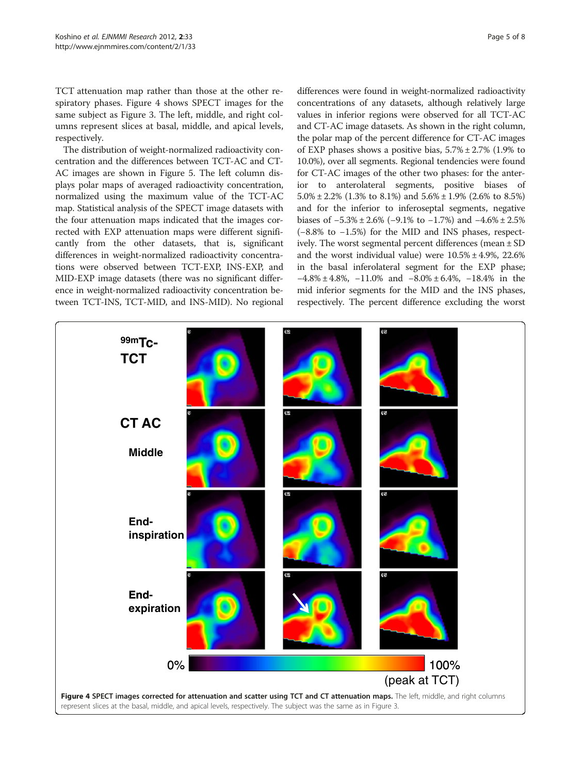<span id="page-4-0"></span>TCT attenuation map rather than those at the other respiratory phases. Figure 4 shows SPECT images for the same subject as Figure [3.](#page-3-0) The left, middle, and right columns represent slices at basal, middle, and apical levels, respectively.

The distribution of weight-normalized radioactivity concentration and the differences between TCT-AC and CT-AC images are shown in Figure [5](#page-5-0). The left column displays polar maps of averaged radioactivity concentration, normalized using the maximum value of the TCT-AC map. Statistical analysis of the SPECT image datasets with the four attenuation maps indicated that the images corrected with EXP attenuation maps were different significantly from the other datasets, that is, significant differences in weight-normalized radioactivity concentrations were observed between TCT-EXP, INS-EXP, and MID-EXP image datasets (there was no significant difference in weight-normalized radioactivity concentration between TCT-INS, TCT-MID, and INS-MID). No regional differences were found in weight-normalized radioactivity concentrations of any datasets, although relatively large values in inferior regions were observed for all TCT-AC and CT-AC image datasets. As shown in the right column, the polar map of the percent difference for CT-AC images of EXP phases shows a positive bias,  $5.7\% \pm 2.7\%$  (1.9% to 10.0%), over all segments. Regional tendencies were found for CT-AC images of the other two phases: for the anterior to anterolateral segments, positive biases of 5.0% ± 2.2% (1.3% to 8.1%) and 5.6% ± 1.9% (2.6% to 8.5%) and for the inferior to inferoseptal segments, negative biases of  $-5.3\% \pm 2.6\%$  (−9.1% to  $-1.7\%$ ) and  $-4.6\% \pm 2.5\%$ (−8.8% to −1.5%) for the MID and INS phases, respectively. The worst segmental percent differences (mean ± SD and the worst individual value) were  $10.5% \pm 4.9%$ , 22.6% in the basal inferolateral segment for the EXP phase; −4.8% ± 4.8%, −11.0% and −8.0% ± 6.4%, −18.4% in the mid inferior segments for the MID and the INS phases, respectively. The percent difference excluding the worst

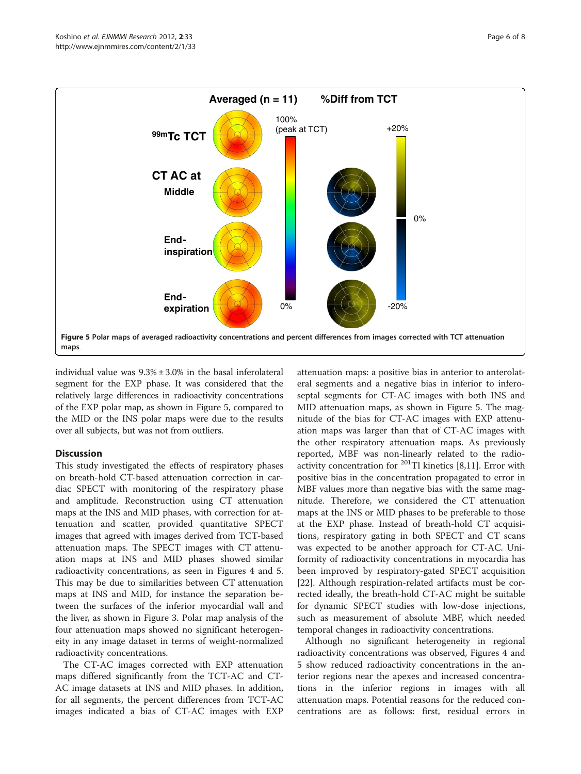<span id="page-5-0"></span>

individual value was  $9.3\% \pm 3.0\%$  in the basal inferolateral segment for the EXP phase. It was considered that the relatively large differences in radioactivity concentrations of the EXP polar map, as shown in Figure 5, compared to the MID or the INS polar maps were due to the results over all subjects, but was not from outliers.

# **Discussion**

This study investigated the effects of respiratory phases on breath-hold CT-based attenuation correction in cardiac SPECT with monitoring of the respiratory phase and amplitude. Reconstruction using CT attenuation maps at the INS and MID phases, with correction for attenuation and scatter, provided quantitative SPECT images that agreed with images derived from TCT-based attenuation maps. The SPECT images with CT attenuation maps at INS and MID phases showed similar radioactivity concentrations, as seen in Figures [4](#page-4-0) and 5. This may be due to similarities between CT attenuation maps at INS and MID, for instance the separation between the surfaces of the inferior myocardial wall and the liver, as shown in Figure [3](#page-3-0). Polar map analysis of the four attenuation maps showed no significant heterogeneity in any image dataset in terms of weight-normalized radioactivity concentrations.

The CT-AC images corrected with EXP attenuation maps differed significantly from the TCT-AC and CT-AC image datasets at INS and MID phases. In addition, for all segments, the percent differences from TCT-AC images indicated a bias of CT-AC images with EXP attenuation maps: a positive bias in anterior to anterolateral segments and a negative bias in inferior to inferoseptal segments for CT-AC images with both INS and MID attenuation maps, as shown in Figure 5. The magnitude of the bias for CT-AC images with EXP attenuation maps was larger than that of CT-AC images with the other respiratory attenuation maps. As previously reported, MBF was non-linearly related to the radioactivity concentration for  $^{201}$ Tl kinetics [\[8,11\]](#page-7-0). Error with positive bias in the concentration propagated to error in MBF values more than negative bias with the same magnitude. Therefore, we considered the CT attenuation maps at the INS or MID phases to be preferable to those at the EXP phase. Instead of breath-hold CT acquisitions, respiratory gating in both SPECT and CT scans was expected to be another approach for CT-AC. Uniformity of radioactivity concentrations in myocardia has been improved by respiratory-gated SPECT acquisition [[22\]](#page-7-0). Although respiration-related artifacts must be corrected ideally, the breath-hold CT-AC might be suitable for dynamic SPECT studies with low-dose injections, such as measurement of absolute MBF, which needed temporal changes in radioactivity concentrations.

Although no significant heterogeneity in regional radioactivity concentrations was observed, Figures [4](#page-4-0) and 5 show reduced radioactivity concentrations in the anterior regions near the apexes and increased concentrations in the inferior regions in images with all attenuation maps. Potential reasons for the reduced concentrations are as follows: first, residual errors in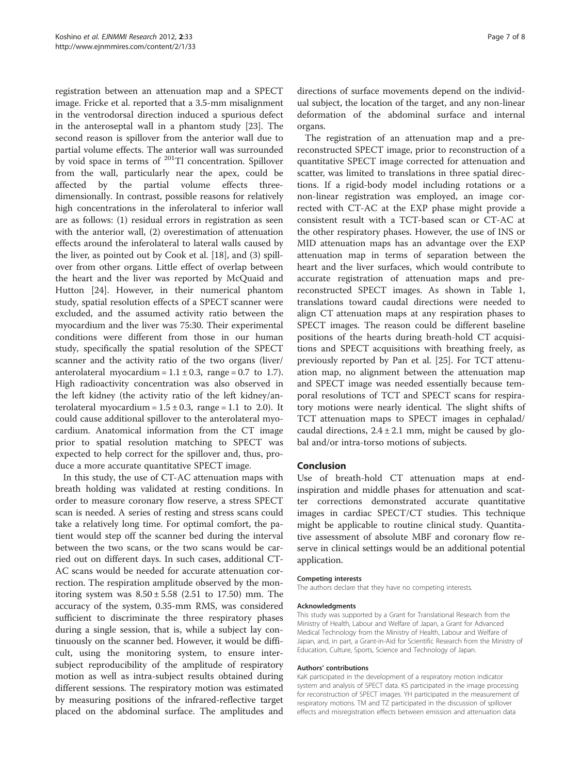registration between an attenuation map and a SPECT image. Fricke et al. reported that a 3.5-mm misalignment in the ventrodorsal direction induced a spurious defect in the anteroseptal wall in a phantom study [[23](#page-7-0)]. The second reason is spillover from the anterior wall due to partial volume effects. The anterior wall was surrounded by void space in terms of 201Tl concentration. Spillover from the wall, particularly near the apex, could be affected by the partial volume effects threedimensionally. In contrast, possible reasons for relatively high concentrations in the inferolateral to inferior wall are as follows: (1) residual errors in registration as seen with the anterior wall, (2) overestimation of attenuation effects around the inferolateral to lateral walls caused by the liver, as pointed out by Cook et al. [[18\]](#page-7-0), and (3) spillover from other organs. Little effect of overlap between the heart and the liver was reported by McQuaid and Hutton [[24\]](#page-7-0). However, in their numerical phantom study, spatial resolution effects of a SPECT scanner were excluded, and the assumed activity ratio between the myocardium and the liver was 75:30. Their experimental conditions were different from those in our human study, specifically the spatial resolution of the SPECT scanner and the activity ratio of the two organs (liver/ anterolateral myocardium =  $1.1 \pm 0.3$ , range = 0.7 to 1.7). High radioactivity concentration was also observed in the left kidney (the activity ratio of the left kidney/anterolateral myocardium =  $1.5 \pm 0.3$ , range = 1.1 to 2.0). It could cause additional spillover to the anterolateral myocardium. Anatomical information from the CT image prior to spatial resolution matching to SPECT was expected to help correct for the spillover and, thus, produce a more accurate quantitative SPECT image.

In this study, the use of CT-AC attenuation maps with breath holding was validated at resting conditions. In order to measure coronary flow reserve, a stress SPECT scan is needed. A series of resting and stress scans could take a relatively long time. For optimal comfort, the patient would step off the scanner bed during the interval between the two scans, or the two scans would be carried out on different days. In such cases, additional CT-AC scans would be needed for accurate attenuation correction. The respiration amplitude observed by the monitoring system was  $8.50 \pm 5.58$  (2.51 to 17.50) mm. The accuracy of the system, 0.35-mm RMS, was considered sufficient to discriminate the three respiratory phases during a single session, that is, while a subject lay continuously on the scanner bed. However, it would be difficult, using the monitoring system, to ensure intersubject reproducibility of the amplitude of respiratory motion as well as intra-subject results obtained during different sessions. The respiratory motion was estimated by measuring positions of the infrared-reflective target placed on the abdominal surface. The amplitudes and directions of surface movements depend on the individual subject, the location of the target, and any non-linear deformation of the abdominal surface and internal organs.

The registration of an attenuation map and a prereconstructed SPECT image, prior to reconstruction of a quantitative SPECT image corrected for attenuation and scatter, was limited to translations in three spatial directions. If a rigid-body model including rotations or a non-linear registration was employed, an image corrected with CT-AC at the EXP phase might provide a consistent result with a TCT-based scan or CT-AC at the other respiratory phases. However, the use of INS or MID attenuation maps has an advantage over the EXP attenuation map in terms of separation between the heart and the liver surfaces, which would contribute to accurate registration of attenuation maps and prereconstructed SPECT images. As shown in Table [1](#page-3-0), translations toward caudal directions were needed to align CT attenuation maps at any respiration phases to SPECT images. The reason could be different baseline positions of the hearts during breath-hold CT acquisitions and SPECT acquisitions with breathing freely, as previously reported by Pan et al. [\[25](#page-7-0)]. For TCT attenuation map, no alignment between the attenuation map and SPECT image was needed essentially because temporal resolutions of TCT and SPECT scans for respiratory motions were nearly identical. The slight shifts of TCT attenuation maps to SPECT images in cephalad/ caudal directions,  $2.4 \pm 2.1$  mm, might be caused by global and/or intra-torso motions of subjects.

### Conclusion

Use of breath-hold CT attenuation maps at endinspiration and middle phases for attenuation and scatter corrections demonstrated accurate quantitative images in cardiac SPECT/CT studies. This technique might be applicable to routine clinical study. Quantitative assessment of absolute MBF and coronary flow reserve in clinical settings would be an additional potential application.

# Competing interests

The authors declare that they have no competing interests.

#### Acknowledgments

This study was supported by a Grant for Translational Research from the Ministry of Health, Labour and Welfare of Japan, a Grant for Advanced Medical Technology from the Ministry of Health, Labour and Welfare of Japan, and, in part, a Grant-in-Aid for Scientific Research from the Ministry of Education, Culture, Sports, Science and Technology of Japan.

#### Authors' contributions

KaK participated in the development of a respiratory motion indicator system and analysis of SPECT data. KS participated in the image processing for reconstruction of SPECT images. YH participated in the measurement of respiratory motions. TM and TZ participated in the discussion of spillover effects and misregistration effects between emission and attenuation data